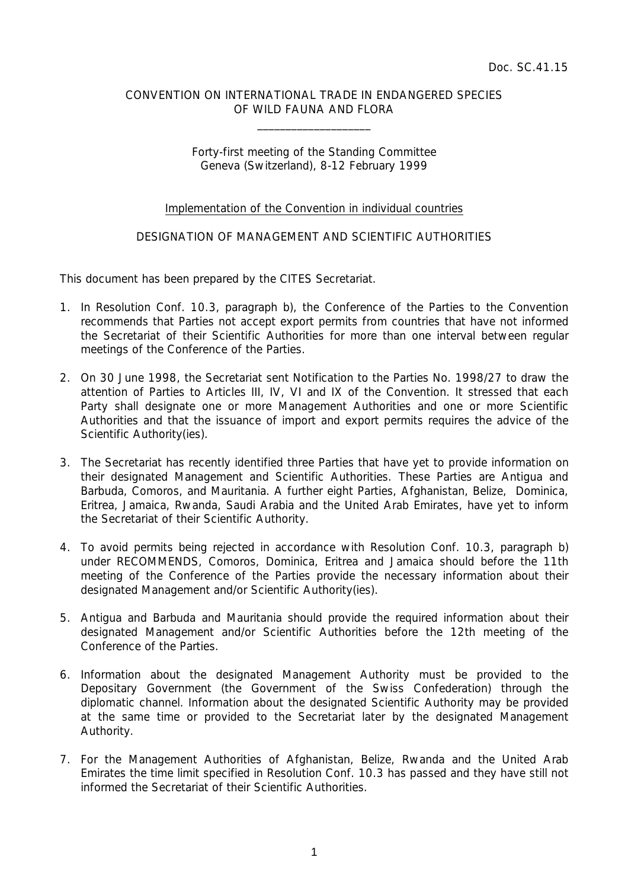## CONVENTION ON INTERNATIONAL TRADE IN ENDANGERED SPECIES OF WILD FAUNA AND FLORA

\_\_\_\_\_\_\_\_\_\_\_\_\_\_\_\_\_\_\_\_

## Forty-first meeting of the Standing Committee Geneva (Switzerland), 8-12 February 1999

## Implementation of the Convention in individual countries

## DESIGNATION OF MANAGEMENT AND SCIENTIFIC AUTHORITIES

This document has been prepared by the CITES Secretariat.

- 1. In Resolution Conf. 10.3, paragraph b), the Conference of the Parties to the Convention recommends that Parties not accept export permits from countries that have not informed the Secretariat of their Scientific Authorities for more than one interval between regular meetings of the Conference of the Parties.
- 2. On 30 June 1998, the Secretariat sent Notification to the Parties No. 1998/27 to draw the attention of Parties to Articles III, IV, VI and IX of the Convention. It stressed that each Party shall designate one or more Management Authorities and one or more Scientific Authorities and that the issuance of import and export permits requires the advice of the Scientific Authority(ies).
- 3. The Secretariat has recently identified three Parties that have yet to provide information on their designated Management and Scientific Authorities. These Parties are Antigua and Barbuda, Comoros, and Mauritania. A further eight Parties, Afghanistan, Belize, Dominica, Eritrea, Jamaica, Rwanda, Saudi Arabia and the United Arab Emirates, have yet to inform the Secretariat of their Scientific Authority.
- 4. To avoid permits being rejected in accordance with Resolution Conf. 10.3, paragraph b) under RECOMMENDS, Comoros, Dominica, Eritrea and Jamaica should before the 11th meeting of the Conference of the Parties provide the necessary information about their designated Management and/or Scientific Authority(ies).
- 5. Antigua and Barbuda and Mauritania should provide the required information about their designated Management and/or Scientific Authorities before the 12th meeting of the Conference of the Parties.
- 6. Information about the designated Management Authority must be provided to the Depositary Government (the Government of the Swiss Confederation) through the diplomatic channel. Information about the designated Scientific Authority may be provided at the same time or provided to the Secretariat later by the designated Management Authority.
- 7. For the Management Authorities of Afghanistan, Belize, Rwanda and the United Arab Emirates the time limit specified in Resolution Conf. 10.3 has passed and they have still not informed the Secretariat of their Scientific Authorities.